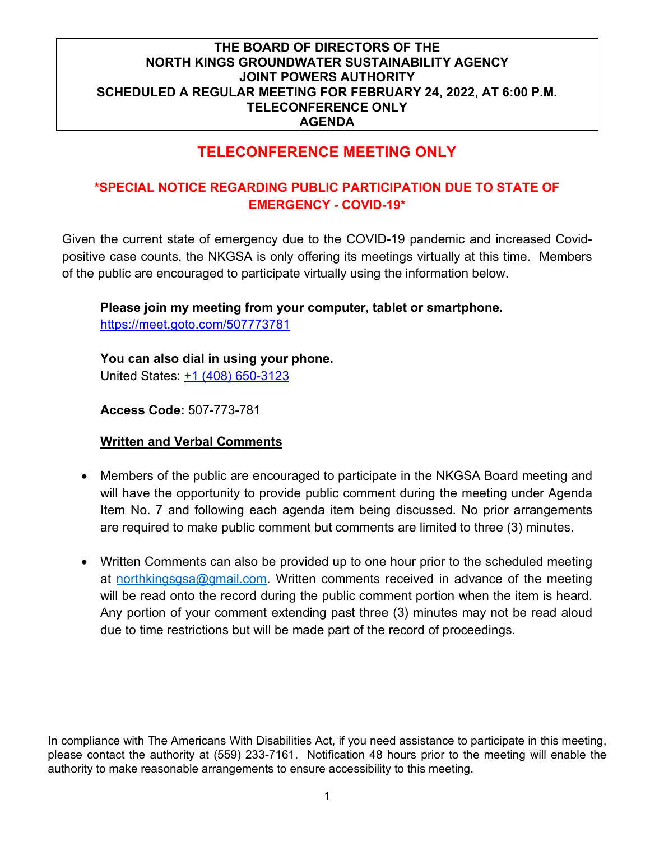# **TELECONFERENCE MEETING ONLY**

# **\*SPECIAL NOTICE REGARDING PUBLIC PARTICIPATION DUE TO STATE OF EMERGENCY - COVID-19\***

Given the current state of emergency due to the COVID-19 pandemic and increased Covidpositive case counts, the NKGSA is only offering its meetings virtually at this time. Members of the public are encouraged to participate virtually using the information below.

# **Please join my meeting from your computer, tablet or smartphone.**

<https://meet.goto.com/507773781>

**You can also dial in using your phone.** United States: [+1 \(408\) 650-3123](tel:+14086503123,,507773781)

**Access Code:** 507-773-781

# **Written and Verbal Comments**

- Members of the public are encouraged to participate in the NKGSA Board meeting and will have the opportunity to provide public comment during the meeting under Agenda Item No. 7 and following each agenda item being discussed. No prior arrangements are required to make public comment but comments are limited to three (3) minutes.
- Written Comments can also be provided up to one hour prior to the scheduled meeting at [northkingsgsa@gmail.com.](mailto:northkingsgsa@gmail.com) Written comments received in advance of the meeting will be read onto the record during the public comment portion when the item is heard. Any portion of your comment extending past three (3) minutes may not be read aloud due to time restrictions but will be made part of the record of proceedings.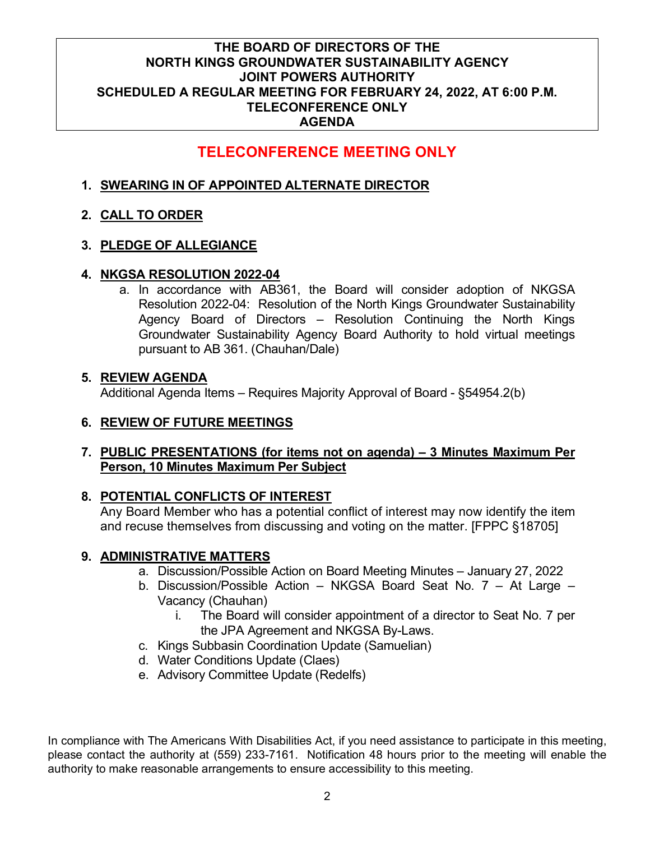# **TELECONFERENCE MEETING ONLY**

## **1. SWEARING IN OF APPOINTED ALTERNATE DIRECTOR**

#### **2. CALL TO ORDER**

#### **3. PLEDGE OF ALLEGIANCE**

#### **4. NKGSA RESOLUTION 2022-04**

a. In accordance with AB361, the Board will consider adoption of NKGSA Resolution 2022-04: Resolution of the North Kings Groundwater Sustainability Agency Board of Directors – Resolution Continuing the North Kings Groundwater Sustainability Agency Board Authority to hold virtual meetings pursuant to AB 361. (Chauhan/Dale)

#### **5. REVIEW AGENDA**

Additional Agenda Items – Requires Majority Approval of Board - §54954.2(b)

# **6. REVIEW OF FUTURE MEETINGS**

#### **7. PUBLIC PRESENTATIONS (for items not on agenda) – 3 Minutes Maximum Per Person, 10 Minutes Maximum Per Subject**

# **8. POTENTIAL CONFLICTS OF INTEREST**

Any Board Member who has a potential conflict of interest may now identify the item and recuse themselves from discussing and voting on the matter. [FPPC §18705]

# **9. ADMINISTRATIVE MATTERS**

- a. Discussion/Possible Action on Board Meeting Minutes January 27, 2022
- b. Discussion/Possible Action NKGSA Board Seat No. 7 At Large Vacancy (Chauhan)
	- i. The Board will consider appointment of a director to Seat No. 7 per the JPA Agreement and NKGSA By-Laws.
- c. Kings Subbasin Coordination Update (Samuelian)
- d. Water Conditions Update (Claes)
- e. Advisory Committee Update (Redelfs)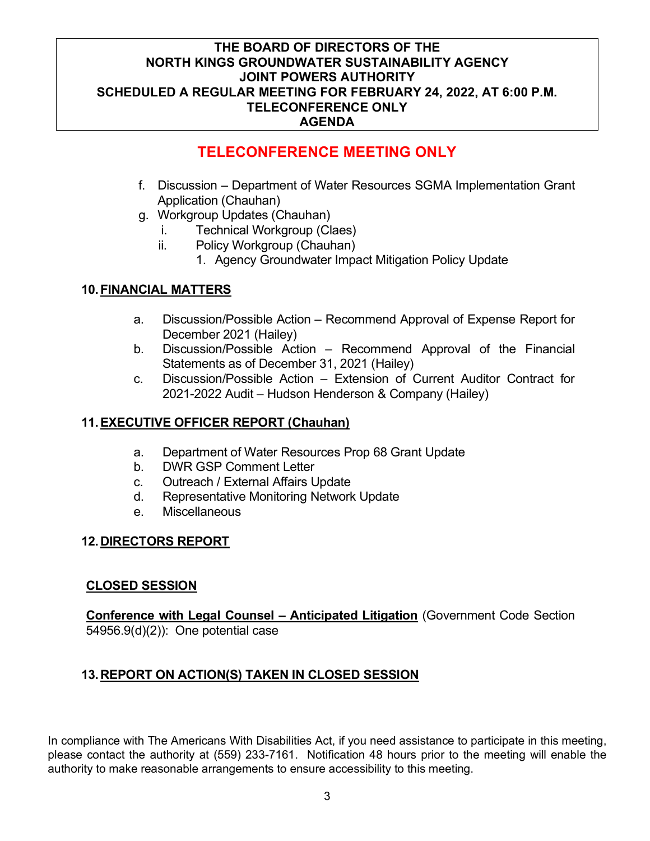# **TELECONFERENCE MEETING ONLY**

- f. Discussion Department of Water Resources SGMA Implementation Grant Application (Chauhan)
- g. Workgroup Updates (Chauhan)
	- i. Technical Workgroup (Claes)
	- ii. Policy Workgroup (Chauhan)
		- 1. Agency Groundwater Impact Mitigation Policy Update

# **10.FINANCIAL MATTERS**

- a. Discussion/Possible Action Recommend Approval of Expense Report for December 2021 (Hailey)
- b. Discussion/Possible Action Recommend Approval of the Financial Statements as of December 31, 2021 (Hailey)
- c. Discussion/Possible Action Extension of Current Auditor Contract for 2021-2022 Audit – Hudson Henderson & Company (Hailey)

# **11.EXECUTIVE OFFICER REPORT (Chauhan)**

- a. Department of Water Resources Prop 68 Grant Update
- b. DWR GSP Comment Letter
- c. Outreach / External Affairs Update
- d. Representative Monitoring Network Update
- e. Miscellaneous

# **12.DIRECTORS REPORT**

# **CLOSED SESSION**

**Conference with Legal Counsel – Anticipated Litigation** (Government Code Section 54956.9(d)(2)): One potential case

# **13.REPORT ON ACTION(S) TAKEN IN CLOSED SESSION**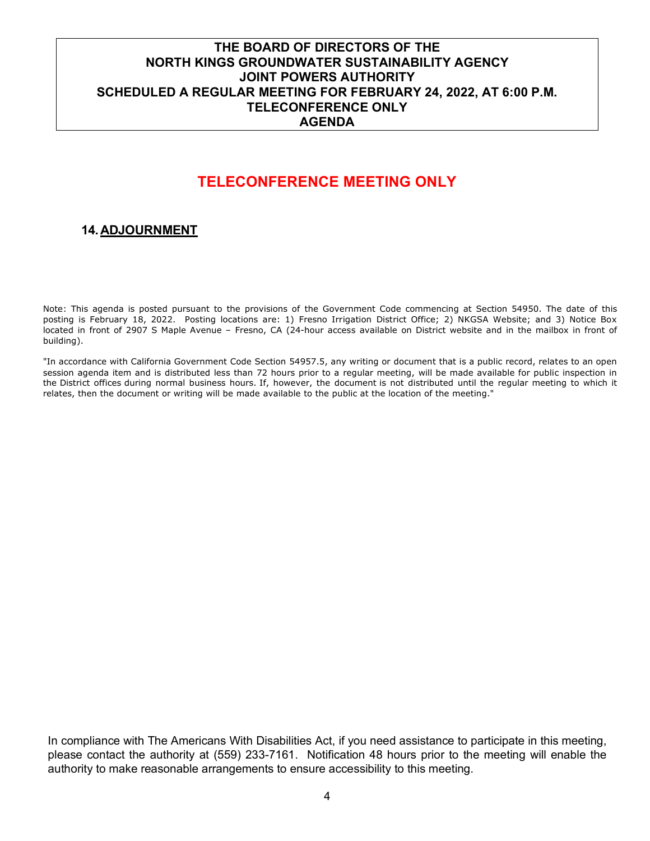# **TELECONFERENCE MEETING ONLY**

#### **14.ADJOURNMENT**

Note: This agenda is posted pursuant to the provisions of the Government Code commencing at Section 54950. The date of this posting is February 18, 2022. Posting locations are: 1) Fresno Irrigation District Office; 2) NKGSA Website; and 3) Notice Box located in front of 2907 S Maple Avenue – Fresno, CA (24-hour access available on District website and in the mailbox in front of building).

"In accordance with California Government Code Section 54957.5, any writing or document that is a public record, relates to an open session agenda item and is distributed less than 72 hours prior to a regular meeting, will be made available for public inspection in the District offices during normal business hours. If, however, the document is not distributed until the regular meeting to which it relates, then the document or writing will be made available to the public at the location of the meeting."